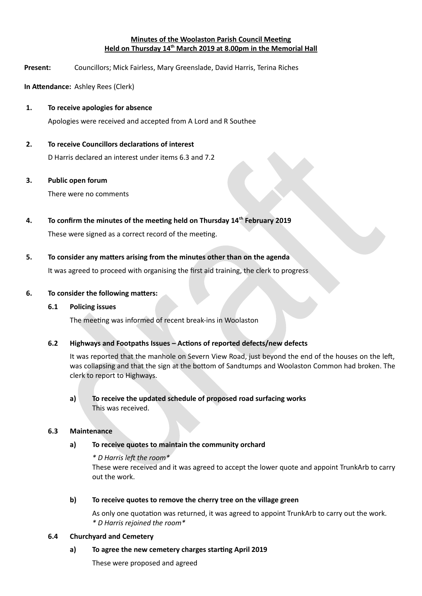# **Minutes of the Woolaston Parish Council Meeting Held on Thursday 14th March 2019 at 8.00pm in the Memorial Hall**

**Present:** Councillors; Mick Fairless, Mary Greenslade, David Harris, Terina Riches

**In Attendance:** Ashley Rees (Clerk)

## **1.** To receive apologies for absence

Apologies were received and accepted from A Lord and R Southee

# **2. To receive Councillors declaratons of interest**

D Harris declared an interest under items 6.3 and 7.2

### **3. Public open forum**

There were no comments

### **4. To confirm the minutes of the meetnn held on Thursday 14th February 2019**

These were signed as a correct record of the meeting.

# **5.** To consider any matters arising from the minutes other than on the agenda

It was agreed to proceed with organising the frst aid training, the clerk to progress

### **6.** To consider the following matters:

# **6.1** Policing issues

The meeting was informed of recent break-ins in Woolaston

# 6.2 **Highways and Footpaths Issues – Actions of reported defects/new defects**

It was reported that the manhole on Severn View Road, just beyond the end of the houses on the lef, was collapsing and that the sign at the bottom of Sandtumps and Woolaston Common had broken. The clerk to report to Highways.

# a) To receive the updated schedule of proposed road surfacing works This was received.

#### **6.3 Maintenance**

# **a) To receive quotes to maintain the community orchard**

### *\* D Harris lef the room\**

These were received and it was agreed to accept the lower quote and appoint TrunkArb to carry out the work.

## **b)** To receive quotes to remove the cherry tree on the village green

As only one quotation was returned, it was agreed to appoint TrunkArb to carry out the work. *\* D Harris rejoined the room\**

#### **6.4 Churchyard and Cemetery**

# a) To agree the new cemetery charges starting April 2019

These were proposed and agreed